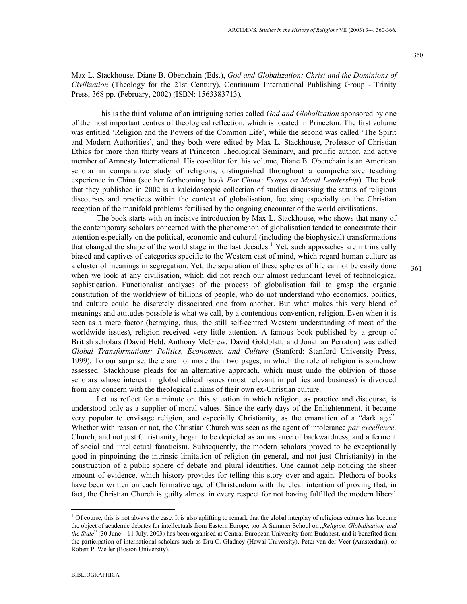360

Max L. Stackhouse, Diane B. Obenchain (Eds.), *God and Globalization: Christ and the Dominions of Civilization* (Theology for the 21st Century), Continuum International Publishing Group - Trinity Press, 368 pp. (February, 2002) (ISBN: 1563383713).

This is the third volume of an intriguing series called *God and Globalization* sponsored by one of the most important centres of theological reflection, which is located in Princeton. The first volume was entitled 'Religion and the Powers of the Common Life', while the second was called 'The Spirit and Modern Authorities', and they both were edited by Max L. Stackhouse, Professor of Christian Ethics for more than thirty years at Princeton Theological Seminary, and prolific author, and active member of Amnesty International. His co-editor for this volume, Diane B. Obenchain is an American scholar in comparative study of religions, distinguished throughout a comprehensive teaching experience in China (see her forthcoming book *For China: Essays on Moral Leadership*). The book that they published in 2002 is a kaleidoscopic collection of studies discussing the status of religious discourses and practices within the context of globalisation, focusing especially on the Christian reception of the manifold problems fertilised by the ongoing encounter of the world civilisations.

The book starts with an incisive introduction by Max L. Stackhouse, who shows that many of the contemporary scholars concerned with the phenomenon of globalisation tended to concentrate their attention especially on the political, economic and cultural (including the biophysical) transformations that changed the shape of the world stage in the last decades.<sup>1</sup> Yet, such approaches are intrinsically biased and captives of categories specific to the Western cast of mind, which regard human culture as a cluster of meanings in segregation. Yet, the separation of these spheres of life cannot be easily done when we look at any civilisation, which did not reach our almost redundant level of technological sophistication. Functionalist analyses of the process of globalisation fail to grasp the organic constitution of the worldview of billions of people, who do not understand who economics, politics, and culture could be discretely dissociated one from another. But what makes this very blend of meanings and attitudes possible is what we call, by a contentious convention, religion. Even when it is seen as a mere factor (betraying, thus, the still self-centred Western understanding of most of the worldwide issues), religion received very little attention. A famous book published by a group of British scholars (David Held, Anthony McGrew, David Goldblatt, and Jonathan Perraton) was called *Global Transformations: Politics, Economics, and Culture* (Stanford: Stanford University Press, 1999). To our surprise, there are not more than two pages, in which the role of religion is somehow assessed. Stackhouse pleads for an alternative approach, which must undo the oblivion of those scholars whose interest in global ethical issues (most relevant in politics and business) is divorced from any concern with the theological claims of their own ex-Christian culture.

Let us reflect for a minute on this situation in which religion, as practice and discourse, is understood only as a supplier of moral values. Since the early days of the Enlightenment, it became very popular to envisage religion, and especially Christianity, as the emanation of a "dark age". Whether with reason or not, the Christian Church was seen as the agent of intolerance *par excellence*. Church, and not just Christianity, began to be depicted as an instance of backwardness, and a ferment of social and intellectual fanaticism. Subsequently, the modern scholars proved to be exceptionally good in pinpointing the intrinsic limitation of religion (in general, and not just Christianity) in the construction of a public sphere of debate and plural identities. One cannot help noticing the sheer amount of evidence, which history provides for telling this story over and again. Plethora of books have been written on each formative age of Christendom with the clear intention of proving that, in fact, the Christian Church is guilty almost in every respect for not having fulfilled the modern liberal

-

 $1$  Of course, this is not always the case. It is also uplifting to remark that the global interplay of religious cultures has become the object of academic debates for intellectuals from Eastern Europe, too. A Summer School on "*Religion, Globalisation, and the State*" (30 June – 11 July, 2003) has been organised at Central European University from Budapest, and it benefited from the participation of international scholars such as Dru C. Gladney (Hawai University), Peter van der Veer (Amsterdam), or Robert P. Weller (Boston University).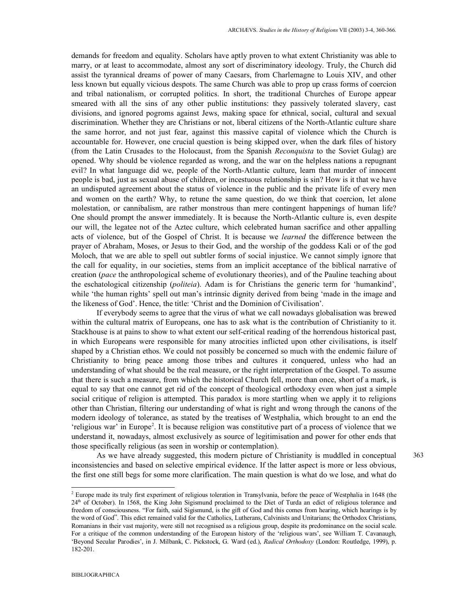demands for freedom and equality. Scholars have aptly proven to what extent Christianity was able to marry, or at least to accommodate, almost any sort of discriminatory ideology. Truly, the Church did assist the tyrannical dreams of power of many Caesars, from Charlemagne to Louis XIV, and other less known but equally vicious despots. The same Church was able to prop up crass forms of coercion and tribal nationalism, or corrupted politics. In short, the traditional Churches of Europe appear smeared with all the sins of any other public institutions: they passively tolerated slavery, cast divisions, and ignored pogroms against Jews, making space for ethnical, social, cultural and sexual discrimination. Whether they are Christians or not, liberal citizens of the North-Atlantic culture share the same horror, and not just fear, against this massive capital of violence which the Church is accountable for. However, one crucial question is being skipped over, when the dark files of history (from the Latin Crusades to the Holocaust, from the Spanish *Reconquista* to the Soviet Gulag) are opened. Why should be violence regarded as wrong, and the war on the helpless nations a repugnant evil? In what language did we, people of the North-Atlantic culture, learn that murder of innocent people is bad, just as sexual abuse of children, or incestuous relationship is sin? How is it that we have an undisputed agreement about the status of violence in the public and the private life of every men and women on the earth? Why, to retune the same question, do we think that coercion, let alone molestation, or cannibalism, are rather monstrous than mere contingent happenings of human life? One should prompt the answer immediately. It is because the North-Atlantic culture is, even despite our will, the legatee not of the Aztec culture, which celebrated human sacrifice and other appalling acts of violence, but of the Gospel of Christ. It is because we *learned* the difference between the prayer of Abraham, Moses, or Jesus to their God, and the worship of the goddess Kali or of the god Moloch, that we are able to spell out subtler forms of social injustice. We cannot simply ignore that the call for equality, in our societies, stems from an implicit acceptance of the biblical narrative of creation (*pace* the anthropological scheme of evolutionary theories), and of the Pauline teaching about the eschatological citizenship (*politeia*). Adam is for Christians the generic term for 'humankind', while 'the human rights' spell out man's intrinsic dignity derived from being 'made in the image and the likeness of God'. Hence, the title: 'Christ and the Dominion of Civilisation'.

If everybody seems to agree that the virus of what we call nowadays globalisation was brewed within the cultural matrix of Europeans, one has to ask what is the contribution of Christianity to it. Stackhouse is at pains to show to what extent our self-critical reading of the horrendous historical past, in which Europeans were responsible for many atrocities inflicted upon other civilisations, is itself shaped by a Christian ethos. We could not possibly be concerned so much with the endemic failure of Christianity to bring peace among those tribes and cultures it conquered, unless who had an understanding of what should be the real measure, or the right interpretation of the Gospel. To assume that there is such a measure, from which the historical Church fell, more than once, short of a mark, is equal to say that one cannot get rid of the concept of theological orthodoxy even when just a simple social critique of religion is attempted. This paradox is more startling when we apply it to religions other than Christian, filtering our understanding of what is right and wrong through the canons of the modern ideology of tolerance, as stated by the treatises of Westphalia, which brought to an end the 'religious war' in Europe<sup>2</sup>. It is because religion was constitutive part of a process of violence that we understand it, nowadays, almost exclusively as source of legitimisation and power for other ends that those specifically religious (as seen in worship or contemplation).

As we have already suggested, this modern picture of Christianity is muddled in conceptual inconsistencies and based on selective empirical evidence. If the latter aspect is more or less obvious, the first one still begs for some more clarification. The main question is what do we lose, and what do 363

-

<sup>&</sup>lt;sup>2</sup> Europe made its truly first experiment of religious toleration in Transylvania, before the peace of Westphalia in 1648 (the 24<sup>th</sup> of October). In 1568, the King John Sigismund proclaimed to the Diet of Turda an edict of religious tolerance and freedom of consciousness. "For faith, said Sigismund, is the gift of God and this comes from hearing, which hearings is by the word of God". This edict remained valid for the Catholics, Lutherans, Calvinists and Unitarians; the Orthodox Christians, Romanians in their vast majority, were still not recognised as a religious group, despite its predominance on the social scale. For a critique of the common understanding of the European history of the 'religious wars', see William T. Cavanaugh, 'Beyond Secular Parodies', in J. Milbank, C. Pickstock, G. Ward (ed.), *Radical Orthodoxy* (London: Routledge, 1999), p. 182-201.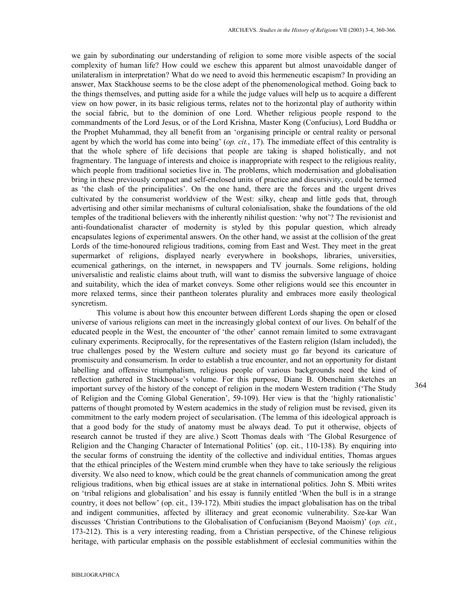we gain by subordinating our understanding of religion to some more visible aspects of the social complexity of human life? How could we eschew this apparent but almost unavoidable danger of unilateralism in interpretation? What do we need to avoid this hermeneutic escapism? In providing an answer, Max Stackhouse seems to be the close adept of the phenomenological method. Going back to the things themselves, and putting aside for a while the judge values will help us to acquire a different view on how power, in its basic religious terms, relates not to the horizontal play of authority within the social fabric, but to the dominion of one Lord. Whether religious people respond to the commandments of the Lord Jesus, or of the Lord Krishna, Master Kong (Confucius), Lord Buddha or the Prophet Muhammad, they all benefit from an 'organising principle or central reality or personal agent by which the world has come into being' (*op. cit.*, 17). The immediate effect of this centrality is that the whole sphere of life decisions that people are taking is shaped holistically, and not fragmentary. The language of interests and choice is inappropriate with respect to the religious reality, which people from traditional societies live in. The problems, which modernisation and globalisation bring in these previously compact and self-enclosed units of practice and discursivity, could be termed as 'the clash of the principalities'. On the one hand, there are the forces and the urgent drives cultivated by the consumerist worldview of the West: silky, cheap and little gods that, through advertising and other similar mechanisms of cultural colonialisation, shake the foundations of the old temples of the traditional believers with the inherently nihilist question: 'why not'? The revisionist and anti-foundationalist character of modernity is styled by this popular question, which already encapsulates legions of experimental answers. On the other hand, we assist at the collision of the great Lords of the time-honoured religious traditions, coming from East and West. They meet in the great supermarket of religions, displayed nearly everywhere in bookshops, libraries, universities, ecumenical gatherings, on the internet, in newspapers and TV journals. Some religions, holding universalistic and realistic claims about truth, will want to dismiss the subversive language of choice and suitability, which the idea of market conveys. Some other religions would see this encounter in more relaxed terms, since their pantheon tolerates plurality and embraces more easily theological syncretism.

This volume is about how this encounter between different Lords shaping the open or closed universe of various religions can meet in the increasingly global context of our lives. On behalf of the educated people in the West, the encounter of 'the other' cannot remain limited to some extravagant culinary experiments. Reciprocally, for the representatives of the Eastern religion (Islam included), the true challenges posed by the Western culture and society must go far beyond its caricature of promiscuity and consumerism. In order to establish a true encounter, and not an opportunity for distant labelling and offensive triumphalism, religious people of various backgrounds need the kind of reflection gathered in Stackhouse's volume. For this purpose, Diane B. Obenchaim sketches an important survey of the history of the concept of religion in the modern Western tradition ('The Study of Religion and the Coming Global Generation', 59-109). Her view is that the 'highly rationalistic' patterns of thought promoted by Western academics in the study of religion must be revised, given its commitment to the early modern project of secularisation. (The lemma of this ideological approach is that a good body for the study of anatomy must be always dead. To put it otherwise, objects of research cannot be trusted if they are alive.) Scott Thomas deals with 'The Global Resurgence of Religion and the Changing Character of International Politics' (op. cit., 110-138). By enquiring into the secular forms of construing the identity of the collective and individual entities, Thomas argues that the ethical principles of the Western mind crumble when they have to take seriously the religious diversity. We also need to know, which could be the great channels of communication among the great religious traditions, when big ethical issues are at stake in international politics. John S. Mbiti writes on 'tribal religions and globalisation' and his essay is funnily entitled 'When the bull is in a strange country, it does not bellow' (op. cit., 139-172). Mbiti studies the impact globalisation has on the tribal and indigent communities, affected by illiteracy and great economic vulnerability. Sze-kar Wan discusses 'Christian Contributions to the Globalisation of Confucianism (Beyond Maoism)' (*op. cit.*, 173-212). This is a very interesting reading, from a Christian perspective, of the Chinese religious heritage, with particular emphasis on the possible establishment of ecclesial communities within the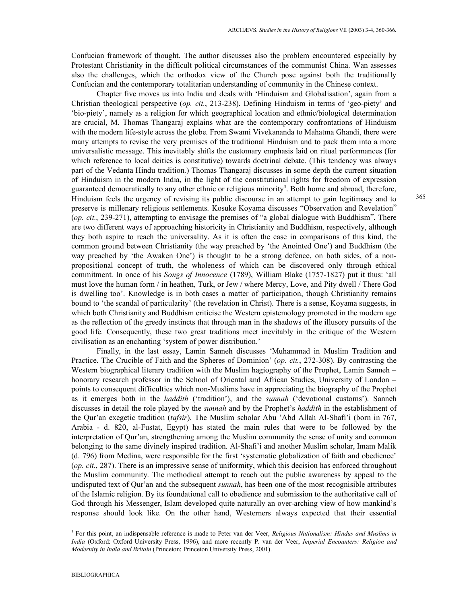Confucian framework of thought. The author discusses also the problem encountered especially by Protestant Christianity in the difficult political circumstances of the communist China. Wan assesses also the challenges, which the orthodox view of the Church pose against both the traditionally Confucian and the contemporary totalitarian understanding of community in the Chinese context.

Chapter five moves us into India and deals with 'Hinduism and Globalisation', again from a Christian theological perspective (*op. cit.*, 213-238). Defining Hinduism in terms of 'geo-piety' and 'bio-piety', namely as a religion for which geographical location and ethnic/biological determination are crucial, M. Thomas Thangaraj explains what are the contemporary confrontations of Hinduism with the modern life-style across the globe. From Swami Vivekananda to Mahatma Ghandi, there were many attempts to revise the very premises of the traditional Hinduism and to pack them into a more universalistic message. This inevitably shifts the customary emphasis laid on ritual performances (for which reference to local deities is constitutive) towards doctrinal debate. (This tendency was always part of the Vedanta Hindu tradition.) Thomas Thangaraj discusses in some depth the current situation of Hinduism in the modern India, in the light of the constitutional rights for freedom of expression guaranteed democratically to any other ethnic or religious minority<sup>3</sup>. Both home and abroad, therefore, Hinduism feels the urgency of revising its public discourse in an attempt to gain legitimacy and to preserve is millenary religious settlements. Kosuke Koyama discusses "Observation and Revelation" (*op. cit.*, 239-271), attempting to envisage the premises of "a global dialogue with Buddhism". There are two different ways of approaching historicity in Christianity and Buddhism, respectively, although they both aspire to reach the universality. As it is often the case in comparisons of this kind, the common ground between Christianity (the way preached by 'the Anointed One') and Buddhism (the way preached by 'the Awaken One') is thought to be a strong defence, on both sides, of a nonpropositional concept of truth, the wholeness of which can be discovered only through ethical commitment. In once of his *Songs of Innocence* (1789), William Blake (1757-1827) put it thus: 'all must love the human form / in heathen, Turk, or Jew / where Mercy, Love, and Pity dwell / There God is dwelling too'. Knowledge is in both cases a matter of participation, though Christianity remains bound to 'the scandal of particularity' (the revelation in Christ). There is a sense, Koyama suggests, in which both Christianity and Buddhism criticise the Western epistemology promoted in the modern age as the reflection of the greedy instincts that through man in the shadows of the illusory pursuits of the good life. Consequently, these two great traditions meet inevitably in the critique of the Western civilisation as an enchanting 'system of power distribution.'

Finally, in the last essay, Lamin Sanneh discusses 'Muhammad in Muslim Tradition and Practice. The Crucible of Faith and the Spheres of Dominion' (*op. cit.*, 272-308). By contrasting the Western biographical literary tradition with the Muslim hagiography of the Prophet, Lamin Sanneh – honorary research professor in the School of Oriental and African Studies, University of London – points to consequent difficulties which non-Muslims have in appreciating the biography of the Prophet as it emerges both in the *haddith* ('tradition'), and the *sunnah* ('devotional customs'). Sanneh discusses in detail the role played by the *sunnah* and by the Prophet's *haddith* in the establishment of the Qur'an exegetic tradition (*tafsir*). The Muslim scholar Abu 'Abd Allah Al-Shafi'i (born in 767, Arabia - d. 820, al-Fustat, Egypt) has stated the main rules that were to be followed by the interpretation of Qur'an, strengthening among the Muslim community the sense of unity and common belonging to the same divinely inspired tradition. Al-Shafi'i and another Muslim scholar, Imam Malik (d. 796) from Medina, were responsible for the first 'systematic globalization of faith and obedience' (*op. cit.*, 287). There is an impressive sense of uniformity, which this decision has enforced throughout the Muslim community. The methodical attempt to reach out the public awareness by appeal to the undisputed text of Qur'an and the subsequent *sunnah*, has been one of the most recognisible attributes of the Islamic religion. By its foundational call to obedience and submission to the authoritative call of God through his Messenger, Islam developed quite naturally an over-arching view of how mankind's response should look like. On the other hand, Westerners always expected that their essential

-

<sup>3</sup> For this point, an indispensable reference is made to Peter van der Veer, *Religious Nationalism: Hindus and Muslims in India* (Oxford: Oxford University Press, 1996), and more recently P. van der Veer, *Imperial Encounters: Religion and Modernity in India and Britain* (Princeton: Princeton University Press, 2001).